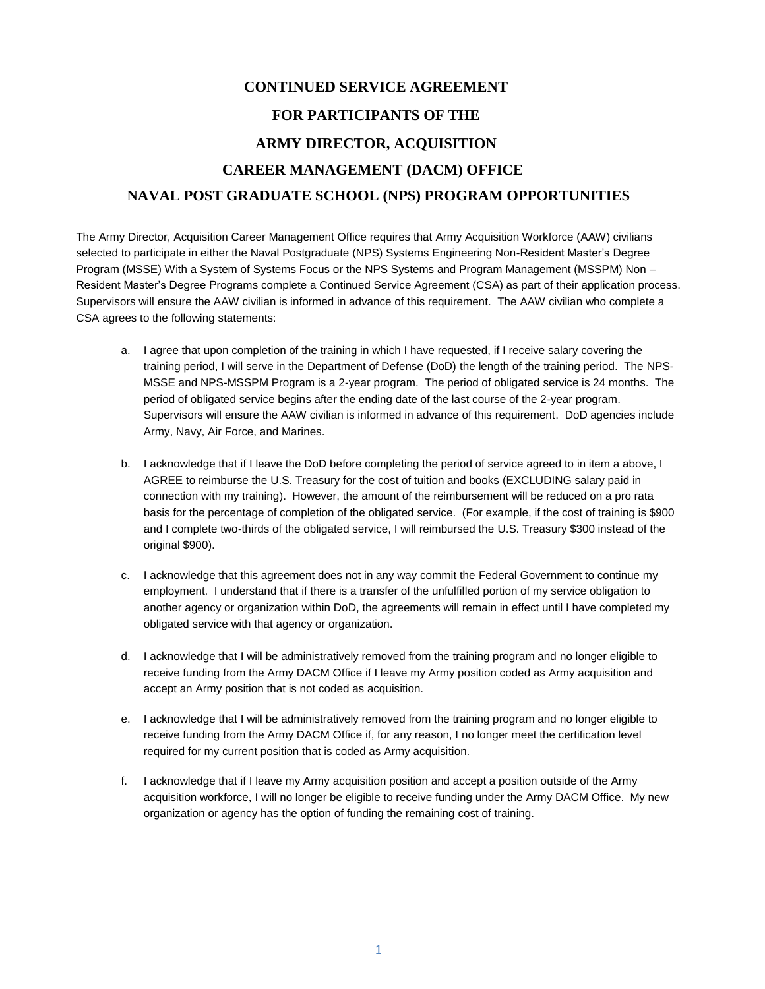## **CONTINUED SERVICE AGREEMENT FOR PARTICIPANTS OF THE ARMY DIRECTOR, ACQUISITION CAREER MANAGEMENT (DACM) OFFICE NAVAL POST GRADUATE SCHOOL (NPS) PROGRAM OPPORTUNITIES**

The Army Director, Acquisition Career Management Office requires that Army Acquisition Workforce (AAW) civilians selected to participate in either the Naval Postgraduate (NPS) Systems Engineering Non-Resident Master's Degree Program (MSSE) With a System of Systems Focus or the NPS Systems and Program Management (MSSPM) Non – Resident Master's Degree Programs complete a Continued Service Agreement (CSA) as part of their application process. Supervisors will ensure the AAW civilian is informed in advance of this requirement. The AAW civilian who complete a CSA agrees to the following statements:

- a. I agree that upon completion of the training in which I have requested, if I receive salary covering the training period, I will serve in the Department of Defense (DoD) the length of the training period. The NPS-MSSE and NPS-MSSPM Program is a 2-year program. The period of obligated service is 24 months. The period of obligated service begins after the ending date of the last course of the 2-year program. Supervisors will ensure the AAW civilian is informed in advance of this requirement. DoD agencies include Army, Navy, Air Force, and Marines.
- b. I acknowledge that if I leave the DoD before completing the period of service agreed to in item a above, I AGREE to reimburse the U.S. Treasury for the cost of tuition and books (EXCLUDING salary paid in connection with my training). However, the amount of the reimbursement will be reduced on a pro rata basis for the percentage of completion of the obligated service. (For example, if the cost of training is \$900 and I complete two-thirds of the obligated service, I will reimbursed the U.S. Treasury \$300 instead of the original \$900).
- c. I acknowledge that this agreement does not in any way commit the Federal Government to continue my employment. I understand that if there is a transfer of the unfulfilled portion of my service obligation to another agency or organization within DoD, the agreements will remain in effect until I have completed my obligated service with that agency or organization.
- d. I acknowledge that I will be administratively removed from the training program and no longer eligible to receive funding from the Army DACM Office if I leave my Army position coded as Army acquisition and accept an Army position that is not coded as acquisition.
- e. I acknowledge that I will be administratively removed from the training program and no longer eligible to receive funding from the Army DACM Office if, for any reason, I no longer meet the certification level required for my current position that is coded as Army acquisition.
- f. I acknowledge that if I leave my Army acquisition position and accept a position outside of the Army acquisition workforce, I will no longer be eligible to receive funding under the Army DACM Office. My new organization or agency has the option of funding the remaining cost of training.